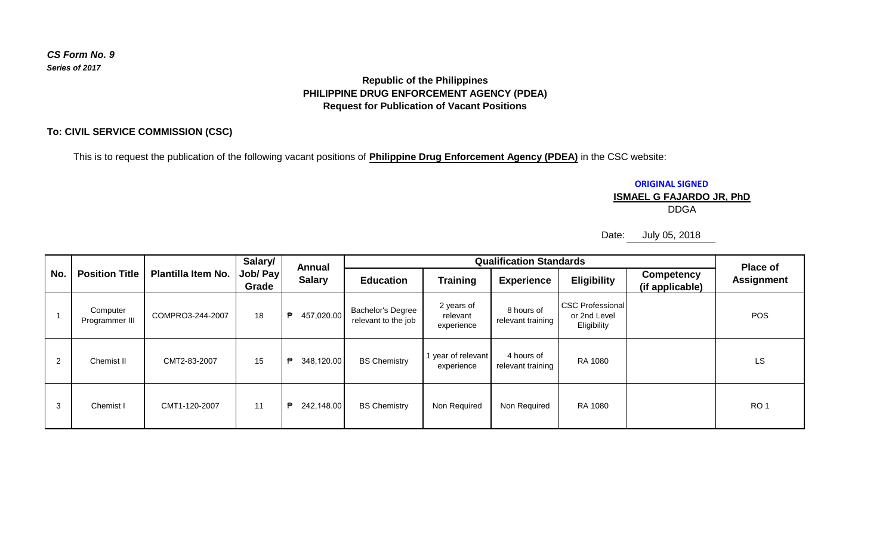# *CS Form No. 9 Series of 2017*

## **Republic of the Philippines PHILIPPINE DRUG ENFORCEMENT AGENCY (PDEA) Request for Publication of Vacant Positions**

#### **To: CIVIL SERVICE COMMISSION (CSC)**

This is to request the publication of the following vacant positions of **Philippine Drug Enforcement Agency (PDEA)** in the CSC website:

**ORIGINAL SIGNED**

### **ISMAEL G FAJARDO JR, PhD**

DDGA

Date: July 05, 2018

| No. | <b>Position Title</b>      | <b>Plantilla Item No.</b> | Salary/<br>Job/ Pay<br>Grade | <b>Annual</b><br><b>Salary</b> | <b>Qualification Standards</b>           |                                      |                                 |                                                        |                                      | <b>Place of</b>   |
|-----|----------------------------|---------------------------|------------------------------|--------------------------------|------------------------------------------|--------------------------------------|---------------------------------|--------------------------------------------------------|--------------------------------------|-------------------|
|     |                            |                           |                              |                                | <b>Education</b>                         | <b>Training</b>                      | <b>Experience</b>               | <b>Eligibility</b>                                     | <b>Competency</b><br>(if applicable) | <b>Assignment</b> |
|     | Computer<br>Programmer III | COMPRO3-244-2007          | 18                           | 457,020.00<br>₱                | Bachelor's Degree<br>relevant to the job | 2 years of<br>relevant<br>experience | 8 hours of<br>relevant training | <b>CSC Professional</b><br>or 2nd Level<br>Eligibility |                                      | <b>POS</b>        |
| 2   | Chemist II                 | CMT2-83-2007              | 15                           | 348,120.00<br>₱                | <b>BS Chemistry</b>                      | year of relevant<br>experience       | 4 hours of<br>relevant training | RA 1080                                                |                                      | LS                |
| 3   | Chemist I                  | CMT1-120-2007             | 11                           | 242,148.00<br>₱                | <b>BS Chemistry</b>                      | Non Required                         | Non Required                    | RA 1080                                                |                                      | RO <sub>1</sub>   |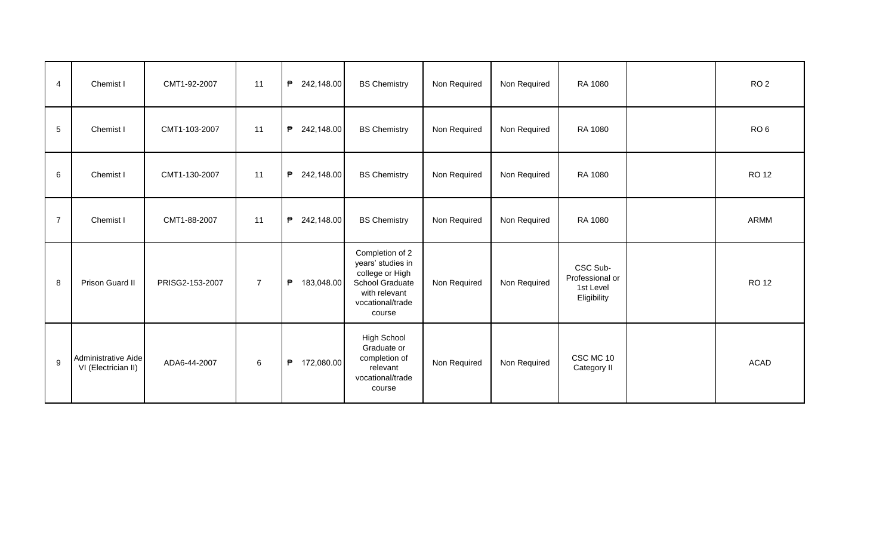| $\overline{4}$ | Chemist I                                  | CMT1-92-2007    | 11             | ₱<br>242,148.00 | <b>BS Chemistry</b>                                                                                                       | Non Required | Non Required | RA 1080                                                 | RO <sub>2</sub> |
|----------------|--------------------------------------------|-----------------|----------------|-----------------|---------------------------------------------------------------------------------------------------------------------------|--------------|--------------|---------------------------------------------------------|-----------------|
| $\sqrt{5}$     | Chemist I                                  | CMT1-103-2007   | 11             | ₱<br>242,148.00 | <b>BS Chemistry</b>                                                                                                       | Non Required | Non Required | RA 1080                                                 | RO <sub>6</sub> |
| 6              | Chemist I                                  | CMT1-130-2007   | 11             | ₱<br>242,148.00 | <b>BS Chemistry</b>                                                                                                       | Non Required | Non Required | RA 1080                                                 | <b>RO12</b>     |
| $\overline{7}$ | Chemist I                                  | CMT1-88-2007    | 11             | ₱<br>242,148.00 | <b>BS Chemistry</b>                                                                                                       | Non Required | Non Required | RA 1080                                                 | ARMM            |
| 8              | Prison Guard II                            | PRISG2-153-2007 | $\overline{7}$ | ₱<br>183,048.00 | Completion of 2<br>years' studies in<br>college or High<br>School Graduate<br>with relevant<br>vocational/trade<br>course | Non Required | Non Required | CSC Sub-<br>Professional or<br>1st Level<br>Eligibility | <b>RO 12</b>    |
| 9              | Administrative Aide<br>VI (Electrician II) | ADA6-44-2007    | $6\phantom{1}$ | ₱<br>172,080.00 | <b>High School</b><br>Graduate or<br>completion of<br>relevant<br>vocational/trade<br>course                              | Non Required | Non Required | CSC MC 10<br>Category II                                | <b>ACAD</b>     |